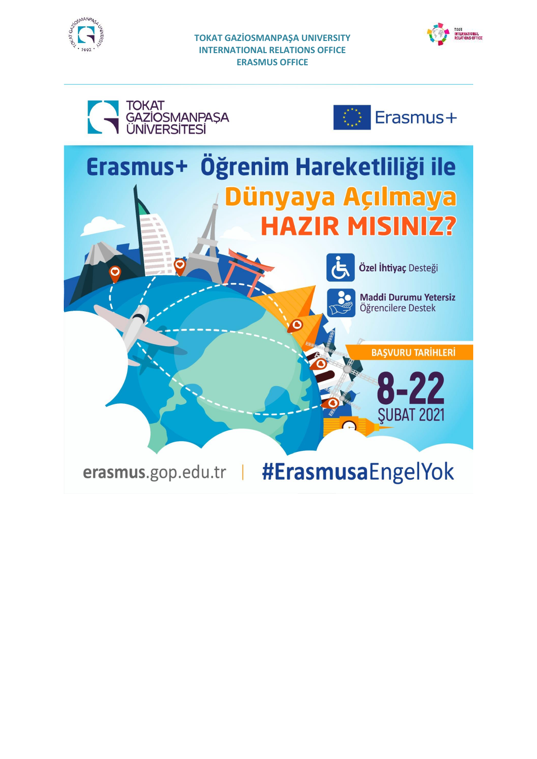



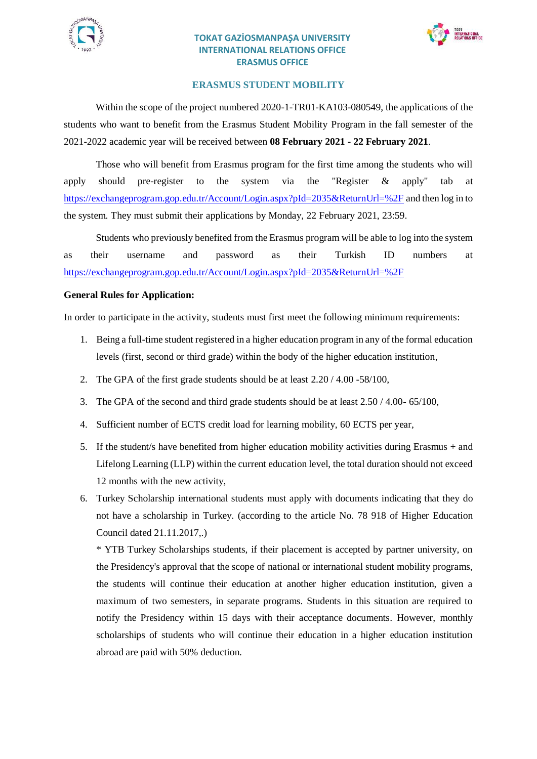



### **ERASMUS STUDENT MOBILITY**

Within the scope of the project numbered 2020-1-TR01-KA103-080549, the applications of the students who want to benefit from the Erasmus Student Mobility Program in the fall semester of the 2021-2022 academic year will be received between **08 February 2021 - 22 February 2021**.

Those who will benefit from Erasmus program for the first time among the students who will apply should pre-register to the system via the "Register & apply" tab at <https://exchangeprogram.gop.edu.tr/Account/Login.aspx?pId=2035&ReturnUrl=%2F> and then log in to the system. They must submit their applications by Monday, 22 February 2021, 23:59.

Students who previously benefited from the Erasmus program will be able to log into the system as their username and password as their Turkish ID numbers at <https://exchangeprogram.gop.edu.tr/Account/Login.aspx?pId=2035&ReturnUrl=%2F>

#### **General Rules for Application:**

In order to participate in the activity, students must first meet the following minimum requirements:

- 1. Being a full-time student registered in a higher education program in any of the formal education levels (first, second or third grade) within the body of the higher education institution,
- 2. The GPA of the first grade students should be at least 2.20 / 4.00 -58/100,
- 3. The GPA of the second and third grade students should be at least 2.50 / 4.00- 65/100,
- 4. Sufficient number of ECTS credit load for learning mobility, 60 ECTS per year,
- 5. If the student/s have benefited from higher education mobility activities during Erasmus + and Lifelong Learning (LLP) within the current education level, the total duration should not exceed 12 months with the new activity,
- 6. Turkey Scholarship international students must apply with documents indicating that they do not have a scholarship in Turkey. (according to the article No. 78 918 of Higher Education Council dated 21.11.2017,.)

\* YTB Turkey Scholarships students, if their placement is accepted by partner university, on the Presidency's approval that the scope of national or international student mobility programs, the students will continue their education at another higher education institution, given a maximum of two semesters, in separate programs. Students in this situation are required to notify the Presidency within 15 days with their acceptance documents. However, monthly scholarships of students who will continue their education in a higher education institution abroad are paid with 50% deduction.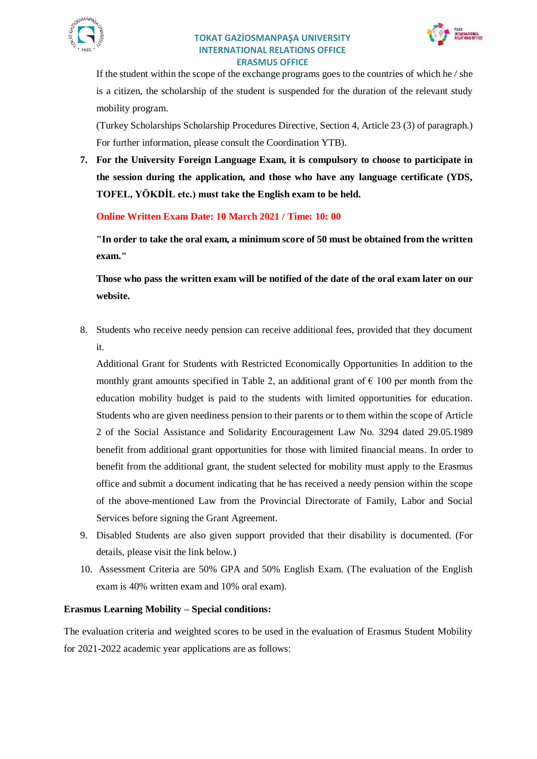



If the student within the scope of the exchange programs goes to the countries of which he / she is a citizen, the scholarship of the student is suspended for the duration of the relevant study mobility program.

(Turkey Scholarships Scholarship Procedures Directive, Section 4, Article 23 (3) of paragraph.) For further information, please consult the Coordination YTB).

**7. For the University Foreign Language Exam, it is compulsory to choose to participate in the session during the application, and those who have any language certificate (YDS, TOFEL, YÖKDİL etc.) must take the English exam to be held.**

**Online Written Exam Date: 10 March 2021 / Time: 10: 00**

**"In order to take the oral exam, a minimum score of 50 must be obtained from the written exam."**

**Those who pass the written exam will be notified of the date of the oral exam later on our website.**

8. Students who receive needy pension can receive additional fees, provided that they document it.

Additional Grant for Students with Restricted Economically Opportunities In addition to the monthly grant amounts specified in Table 2, an additional grant of  $\epsilon$  100 per month from the education mobility budget is paid to the students with limited opportunities for education. Students who are given neediness pension to their parents or to them within the scope of Article 2 of the Social Assistance and Solidarity Encouragement Law No. 3294 dated 29.05.1989 benefit from additional grant opportunities for those with limited financial means. In order to benefit from the additional grant, the student selected for mobility must apply to the Erasmus office and submit a document indicating that he has received a needy pension within the scope of the above-mentioned Law from the Provincial Directorate of Family, Labor and Social Services before signing the Grant Agreement.

- 9. Disabled Students are also given support provided that their disability is documented. (For details, please visit the link below.)
- 10. Assessment Criteria are 50% GPA and 50% English Exam. (The evaluation of the English exam is 40% written exam and 10% oral exam).

## **Erasmus Learning Mobility – Special conditions:**

The evaluation criteria and weighted scores to be used in the evaluation of Erasmus Student Mobility for 2021-2022 academic year applications are as follows: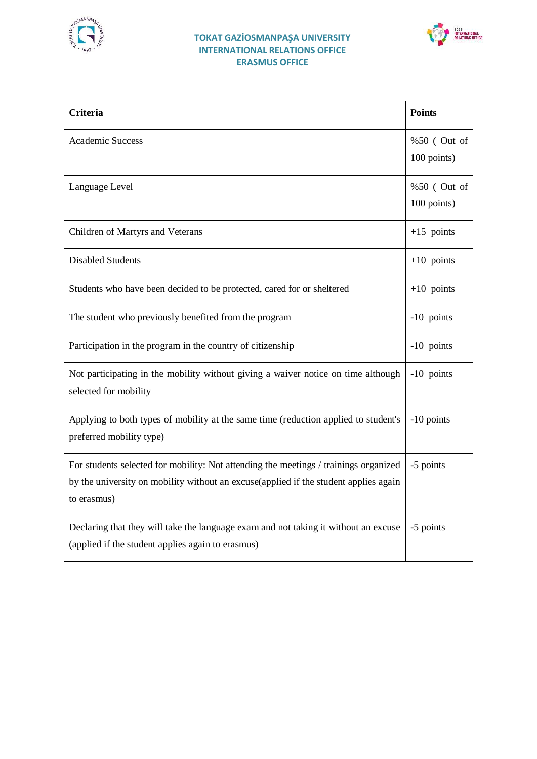



| <b>Criteria</b>                                                                                                                                                                             | <b>Points</b>              |
|---------------------------------------------------------------------------------------------------------------------------------------------------------------------------------------------|----------------------------|
| <b>Academic Success</b>                                                                                                                                                                     | %50 (Out of<br>100 points) |
| Language Level                                                                                                                                                                              | %50 (Out of<br>100 points) |
| Children of Martyrs and Veterans                                                                                                                                                            | $+15$ points               |
| <b>Disabled Students</b>                                                                                                                                                                    | $+10$ points               |
| Students who have been decided to be protected, cared for or sheltered                                                                                                                      | $+10$ points               |
| The student who previously benefited from the program                                                                                                                                       | -10 points                 |
| Participation in the program in the country of citizenship                                                                                                                                  | -10 points                 |
| Not participating in the mobility without giving a waiver notice on time although<br>selected for mobility                                                                                  | -10 points                 |
| Applying to both types of mobility at the same time (reduction applied to student's<br>preferred mobility type)                                                                             | -10 points                 |
| For students selected for mobility: Not attending the meetings / trainings organized<br>by the university on mobility without an excuse(applied if the student applies again<br>to erasmus) | -5 points                  |
| Declaring that they will take the language exam and not taking it without an excuse<br>(applied if the student applies again to erasmus)                                                    | -5 points                  |